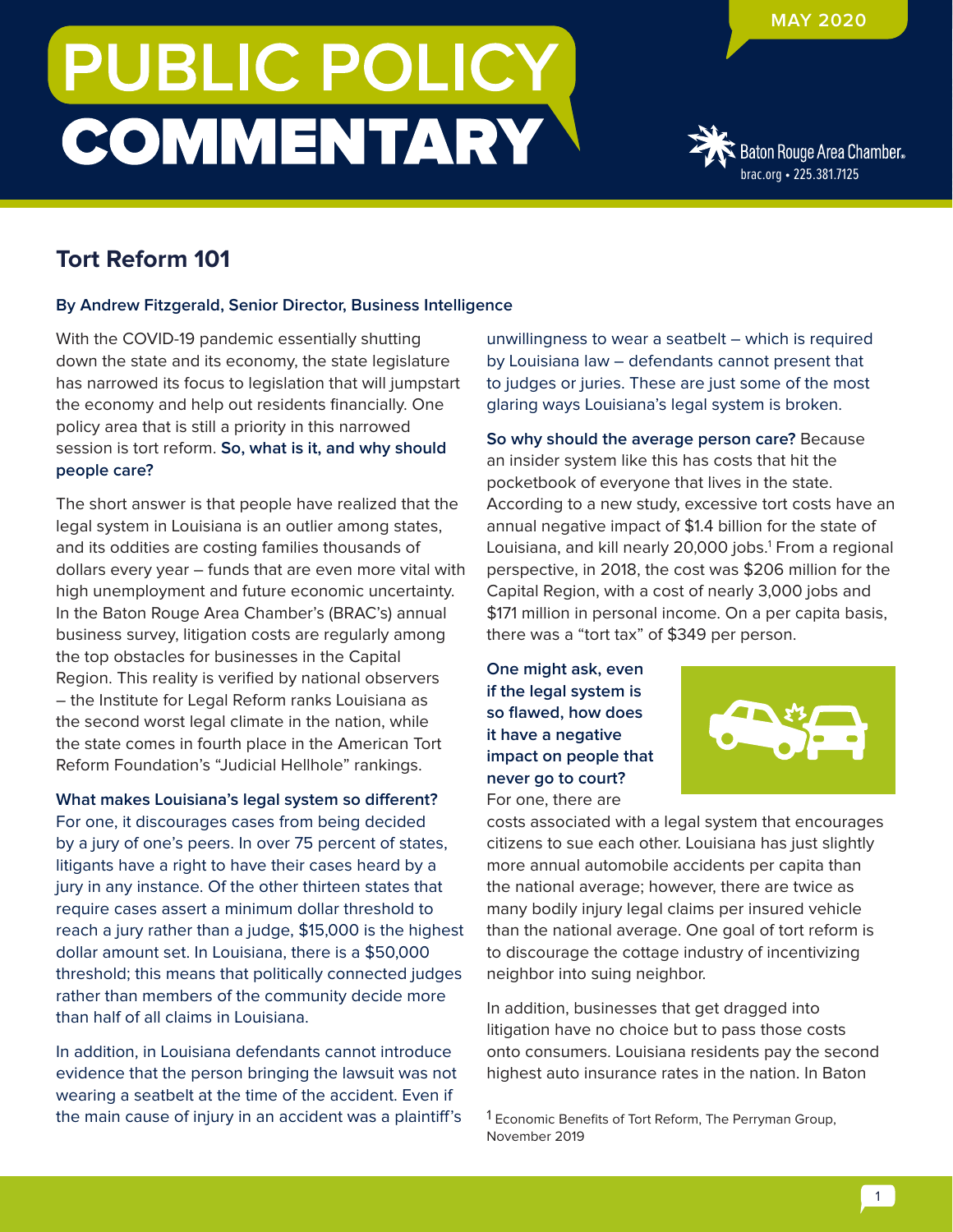## **PUBLIC POLICY COMMENTARY**



## **Tort Reform 101**

## **By Andrew Fitzgerald, Senior Director, Business Intelligence**

With the COVID-19 pandemic essentially shutting down the state and its economy, the state legislature has narrowed its focus to legislation that will jumpstart the economy and help out residents financially. One policy area that is still a priority in this narrowed session is tort reform. **So, what is it, and why should people care?**

The short answer is that people have realized that the legal system in Louisiana is an outlier among states, and its oddities are costing families thousands of dollars every year – funds that are even more vital with high unemployment and future economic uncertainty. In the Baton Rouge Area Chamber's (BRAC's) annual business survey, litigation costs are regularly among the top obstacles for businesses in the Capital Region. This reality is verified by national observers – the Institute for Legal Reform ranks Louisiana as the second worst legal climate in the nation, while the state comes in fourth place in the American Tort Reform Foundation's "Judicial Hellhole" rankings.

**What makes Louisiana's legal system so different?**  For one, it discourages cases from being decided by a jury of one's peers. In over 75 percent of states, litigants have a right to have their cases heard by a jury in any instance. Of the other thirteen states that require cases assert a minimum dollar threshold to reach a jury rather than a judge, \$15,000 is the highest dollar amount set. In Louisiana, there is a \$50,000 threshold; this means that politically connected judges rather than members of the community decide more than half of all claims in Louisiana.

In addition, in Louisiana defendants cannot introduce evidence that the person bringing the lawsuit was not wearing a seatbelt at the time of the accident. Even if the main cause of injury in an accident was a plaintiff's unwillingness to wear a seatbelt – which is required by Louisiana law – defendants cannot present that to judges or juries. These are just some of the most glaring ways Louisiana's legal system is broken.

**So why should the average person care?** Because an insider system like this has costs that hit the pocketbook of everyone that lives in the state. According to a new study, excessive tort costs have an annual negative impact of \$1.4 billion for the state of Louisiana, and kill nearly 20,000 jobs.<sup>1</sup> From a regional perspective, in 2018, the cost was \$206 million for the Capital Region, with a cost of nearly 3,000 jobs and \$171 million in personal income. On a per capita basis, there was a "tort tax" of \$349 per person.

**One might ask, even if the legal system is so flawed, how does it have a negative impact on people that never go to court?** For one, there are



costs associated with a legal system that encourages citizens to sue each other. Louisiana has just slightly more annual automobile accidents per capita than the national average; however, there are twice as many bodily injury legal claims per insured vehicle than the national average. One goal of tort reform is to discourage the cottage industry of incentivizing neighbor into suing neighbor.

In addition, businesses that get dragged into litigation have no choice but to pass those costs onto consumers. Louisiana residents pay the second highest auto insurance rates in the nation. In Baton

<sup>1</sup> Economic Benefits of Tort Reform, The Perryman Group, November 2019